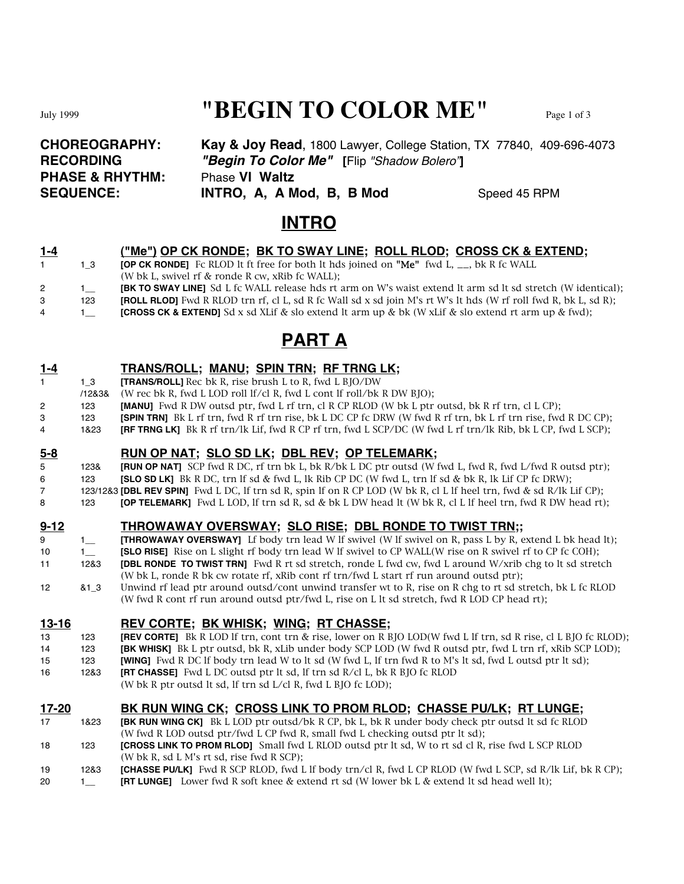# July 1999 **"BEGIN TO COLOR ME"** Page 1 of 3

| <b>CHOREOGRAPHY:</b>       | <b>Kay &amp; Joy Read, 1800 Lawyer, College Station, TX 77840, 409-696-4073</b> |              |
|----------------------------|---------------------------------------------------------------------------------|--------------|
| <b>RECORDING</b>           | "Begin To Color Me" [Flip "Shadow Bolero"]                                      |              |
| <b>PHASE &amp; RHYTHM:</b> | <b>Phase VI Waltz</b>                                                           |              |
| <b>SEQUENCE:</b>           | INTRO, A, A Mod, B, B Mod                                                       | Speed 45 RPM |

### **INTRO**

| $1 - 4$ |     | <u>("Me") OP CK RONDE; BK TO SWAY LINE; ROLL RLOD; CROSS CK &amp; EXTEND;</u>                                                |
|---------|-----|------------------------------------------------------------------------------------------------------------------------------|
|         | 13  | <b>[OP CK RONDE]</b> Fc RLOD It ft free for both It hds joined on <b>"Me"</b> fwd L, $\overline{\phantom{a}}$ , bk R fc WALL |
|         |     | (W bk L, swivel rf $\&$ ronde R cw, xRib fc WALL);                                                                           |
| $^{2}$  |     | <b>[BK TO SWAY LINE]</b> Sd L fc WALL release hds rt arm on W's waist extend It arm sd It sd stretch (W identical);          |
| 3       | 123 | <b>[ROLL RLOD]</b> Fwd R RLOD trn rf, cl L, sd R fc Wall sd x sd join M's rt W's lt hds (W rf roll fwd R, bk L, sd R);       |
| 4       |     | <b>[CROSS CK &amp; EXTEND]</b> Sd x sd XLif & slo extend It arm up & bk (W xLif & slo extend rt arm up & fwd);               |

## **PART A**

### **1-4 TRANS/ROLL; MANU; SPIN TRN; RF TRNG LK;**

- 1 1\_3 **[TRANS/ROLL]** Rec bk R, rise brush L to R, fwd L BJO/DW
- /12&3& (W rec bk R, fwd L LOD roll lf/cl R, fwd L cont lf roll/bk R DW BJO);
- 2 123 **[MANU]** Fwd R DW outsd ptr, fwd L rf trn, cl R CP RLOD (W bk L ptr outsd, bk R rf trn, cl L CP);
- 3 123 **[SPIN TRN]** Bk L rf trn, fwd R rf trn rise, bk L DC CP fc DRW (W fwd R rf trn, bk L rf trn rise, fwd R DC CP);
- 4 1&23 **[RF TRNG LK]** Bk R rf trn/lk Lif, fwd R CP rf trn, fwd L SCP/DC (W fwd L rf trn/lk Rib, bk L CP, fwd L SCP);

### **5-8 RUN OP NAT; SLO SD LK; DBL REV; OP TELEMARK;**

- 5 123& **[RUN OP NAT]** SCP fwd R DC, rf trn bk L, bk R/bk L DC ptr outsd (W fwd L, fwd R, fwd L/fwd R outsd ptr); 6 123 **[SLO SD LK]** Bk R DC, trn lf sd & fwd L, lk Rib CP DC (W fwd L, trn lf sd & bk R, lk Lif CP fc DRW);
- 7 123/12&3 **[DBL REV SPIN]** Fwd L DC, lf trn sd R, spin lf on R CP LOD (W bk R, cl L lf heel trn, fwd & sd R/lk Lif CP);
- 8 123 **[OP TELEMARK]** Fwd L LOD, If trn sd R, sd & bk L DW head It (W bk R, cl L If heel trn, fwd R DW head rt);

### **9-12 THROWAWAY OVERSWAY; SLO RISE; DBL RONDE TO TWIST TRN;;**

- 9 1\_ **[THROWAWAY OVERSWAY]** Lf body trn lead W lf swivel (W lf swivel on R, pass L by R, extend L bk head lt);
- 10 1\_ **[SLO RISE]** Rise on L slight rf body trn lead W lf swivel to CP WALL(W rise on R swivel rf to CP fc COH);
- 11 12&3 **[DBL RONDE TO TWIST TRN]** Fwd R rt sd stretch, ronde L fwd cw, fwd L around W/xrib chg to lt sd stretch (W bk L, ronde R bk cw rotate rf, xRib cont rf trn/fwd L start rf run around outsd ptr);
- 12 &1\_3 Unwind rf lead ptr around outsd/cont unwind transfer wt to R, rise on R chg to rt sd stretch, bk L fc RLOD (W fwd R cont rf run around outsd ptr/fwd L, rise on L lt sd stretch, fwd R LOD CP head rt);

### **13-16 REV CORTE; BK WHISK; WING; RT CHASSE;**

- 13 123 **[REV CORTE]** Bk R LOD lf trn, cont trn & rise, lower on R BJO LOD(W fwd L lf trn, sd R rise, cl L BJO fc RLOD); 14 123 **[BK WHISK]** Bk L ptr outsd, bk R, xLib under body SCP LOD (W fwd R outsd ptr, fwd L trn rf, xRib SCP LOD);
- 15 123 **[WING]** Fwd R DC lf body trn lead W to lt sd (W fwd L, lf trn fwd R to M's lt sd, fwd L outsd ptr lt sd);
- 16 12&3 **[RT CHASSE]** Fwd L DC outsd ptr lt sd, lf trn sd R/cl L, bk R BJO fc RLOD
	- (W bk R ptr outsd lt sd, lf trn sd L/cl R, fwd L BJO fc LOD);

### **17-20 BK RUN WING CK; CROSS LINK TO PROM RLOD; CHASSE PU/LK; RT LUNGE;**

- 17 1&23 **[BK RUN WING CK]** Bk L LOD ptr outsd/bk R CP, bk L, bk R under body check ptr outsd lt sd fc RLOD (W fwd R LOD outsd ptr/fwd L CP fwd R, small fwd L checking outsd ptr lt sd);
- 18 123 **[CROSS LINK TO PROM RLOD]** Small fwd L RLOD outsd ptr lt sd, W to rt sd cl R, rise fwd L SCP RLOD (W bk R, sd L M's rt sd, rise fwd R SCP);
- 19 12&3 **[CHASSE PU/LK]** Fwd R SCP RLOD, fwd L lf body trn/cl R, fwd L CP RLOD (W fwd L SCP, sd R/lk Lif, bk R CP);
- 20 1 **[RT LUNGE]** Lower fwd R soft knee & extend rt sd (W lower bk L & extend lt sd head well lt);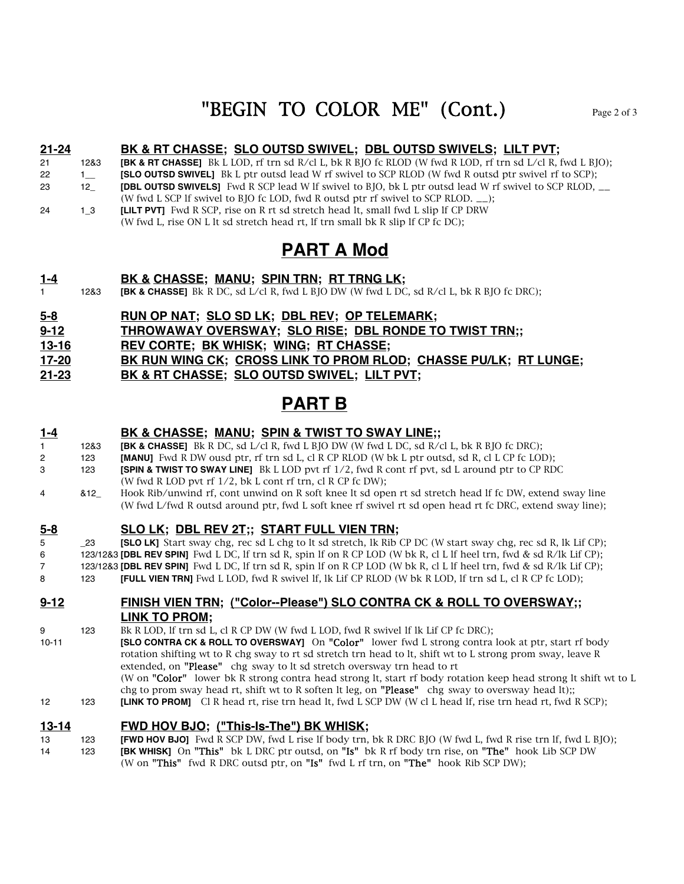# "BEGIN TO COLOR ME"  $(Cont.)$

#### **21-24 BK & RT CHASSE; SLO OUTSD SWIVEL; DBL OUTSD SWIVELS; LILT PVT;**

21 12&3 **[BK & RT CHASSE]** Bk L LOD, rf trn sd R/cl L, bk R BJO fc RLOD (W fwd R LOD, rf trn sd L/cl R, fwd L BJO);

- 22 1 **ISLO OUTSD SWIVEL** Bk L ptr outsd lead W rf swivel to SCP RLOD (W fwd R outsd ptr swivel rf to SCP);
- 23 12\_ **[DBL OUTSD SWIVELS]** Fwd R SCP lead W lf swivel to BJO, bk L ptr outsd lead W rf swivel to SCP RLOD, \_\_
- (W fwd L SCP lf swivel to BJO fc LOD, fwd R outsd ptr rf swivel to SCP RLOD. \_\_);
- 24 1\_3 **[LILT PVT]** Fwd R SCP, rise on R rt sd stretch head lt, small fwd L slip lf CP DRW (W fwd L, rise ON L lt sd stretch head rt, lf trn small bk R slip lf CP fc DC);

## **PART A Mod**

- **1-4 BK & CHASSE; MANU; SPIN TRN; RT TRNG LK;**
- 1 12&3 **[BK & CHASSE]** Bk R DC, sd L/cl R, fwd L BJO DW (W fwd L DC, sd R/cl L, bk R BJO fc DRC);
- **5-8 RUN OP NAT; SLO SD LK; DBL REV; OP TELEMARK;**

**9-12 THROWAWAY OVERSWAY; SLO RISE; DBL RONDE TO TWIST TRN;;**

**13-16 REV CORTE; BK WHISK; WING; RT CHASSE;**

**17-20 BK RUN WING CK; CROSS LINK TO PROM RLOD; CHASSE PU/LK; RT LUNGE;**

**21-23 BK & RT CHASSE; SLO OUTSD SWIVEL; LILT PVT;**

## **PART B**

### **1-4 BK & CHASSE; MANU; SPIN & TWIST TO SWAY LINE;;** 1 12&3 **[BK & CHASSE]** Bk R DC, sd L/cl R, fwd L BJO DW (W fwd L DC, sd R/cl L, bk R BJO fc DRC);

- 2 123 **[MANU]** Fwd R DW ousd ptr, rf trn sd L, cl R CP RLOD (W bk L ptr outsd, sd R, cl L CP fc LOD);
- 3 123 **[SPIN & TWIST TO SWAY LINE]** Bk L LOD pvt rf 1/2, fwd R cont rf pvt, sd L around ptr to CP RDC
- (W fwd R LOD pvt rf 1/2, bk L cont rf trn, cl R CP fc DW);
- 4 &12\_ Hook Rib/unwind rf, cont unwind on R soft knee lt sd open rt sd stretch head lf fc DW, extend sway line (W fwd L/fwd R outsd around ptr, fwd L soft knee rf swivel rt sd open head rt fc DRC, extend sway line);

### **5-8 SLO LK; DBL REV 2T;; START FULL VIEN TRN;**

5 23 **[SLO LK]** Start sway chg, rec sd L chg to lt sd stretch, lk Rib CP DC (W start sway chg, rec sd R, lk Lif CP); 6 123/12&3 **[DBL REV SPIN]** Fwd L DC, lf trn sd R, spin lf on R CP LOD (W bk R, cl L lf heel trn, fwd & sd R/lk Lif CP); 7 123/12&3 **[DBL REV SPIN]** Fwd L DC, lf trn sd R, spin lf on R CP LOD (W bk R, cl L lf heel trn, fwd & sd R/lk Lif CP); 8 123 **[FULL VIEN TRN]** Fwd L LOD, fwd R swivel lf, lk Lif CP RLOD (W bk R LOD, lf trn sd L, cl R CP fc LOD);

#### **9-12 FINISH VIEN TRN; ("Color--Please") SLO CONTRA CK & ROLL TO OVERSWAY;; LINK TO PROM;**

9 123 Bk R LOD, lf trn sd L, cl R CP DW (W fwd L LOD, fwd R swivel lf lk Lif CP fc DRC); 10-11 **[SLO CONTRA CK & ROLL TO OVERSWAY]** On "Color" lower fwd L strong contra look at ptr, start rf body rotation shifting wt to R chg sway to rt sd stretch trn head to lt, shift wt to L strong prom sway, leave R extended, on "Please" chg sway to lt sd stretch oversway trn head to rt (W on "Color" lower bk R strong contra head strong lt, start rf body rotation keep head strong lt shift wt to L chg to prom sway head rt, shift wt to R soften lt leg, on "Please" chg sway to oversway head lt);; 12 123 **[LINK TO PROM]** Cl R head rt, rise trn head lt, fwd L SCP DW (W cl L head lf, rise trn head rt, fwd R SCP);

### **13-14 FWD HOV BJO; ("This-Is-The") BK WHISK;**

13 123 **[FWD HOV BJO]** Fwd R SCP DW, fwd L rise lf body trn, bk R DRC BJO (W fwd L, fwd R rise trn lf, fwd L BJO); 14 123 **[BK WHISK]** On "This" bk L DRC ptr outsd, on "Is" bk R rf body trn rise, on "The" hook Lib SCP DW (W on "This" fwd R DRC outsd ptr, on "Is" fwd L rf trn, on "The" hook Rib SCP DW);